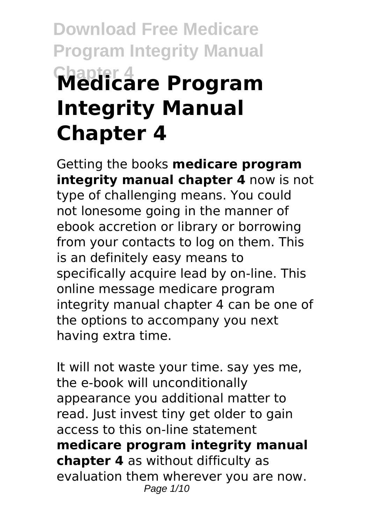# **Download Free Medicare Program Integrity Manual Chapter 4 Medicare Program Integrity Manual Chapter 4**

Getting the books **medicare program integrity manual chapter 4** now is not type of challenging means. You could not lonesome going in the manner of ebook accretion or library or borrowing from your contacts to log on them. This is an definitely easy means to specifically acquire lead by on-line. This online message medicare program integrity manual chapter 4 can be one of the options to accompany you next having extra time.

It will not waste your time. say yes me, the e-book will unconditionally appearance you additional matter to read. Just invest tiny get older to gain access to this on-line statement **medicare program integrity manual chapter 4** as without difficulty as evaluation them wherever you are now. Page 1/10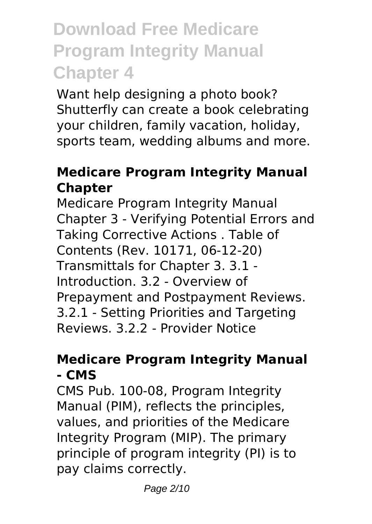Want help designing a photo book? Shutterfly can create a book celebrating your children, family vacation, holiday, sports team, wedding albums and more.

### **Medicare Program Integrity Manual Chapter**

Medicare Program Integrity Manual Chapter 3 - Verifying Potential Errors and Taking Corrective Actions . Table of Contents (Rev. 10171, 06-12-20) Transmittals for Chapter 3. 3.1 - Introduction. 3.2 - Overview of Prepayment and Postpayment Reviews. 3.2.1 - Setting Priorities and Targeting Reviews. 3.2.2 - Provider Notice

### **Medicare Program Integrity Manual - CMS**

CMS Pub. 100-08, Program Integrity Manual (PIM), reflects the principles, values, and priorities of the Medicare Integrity Program (MIP). The primary principle of program integrity (PI) is to pay claims correctly.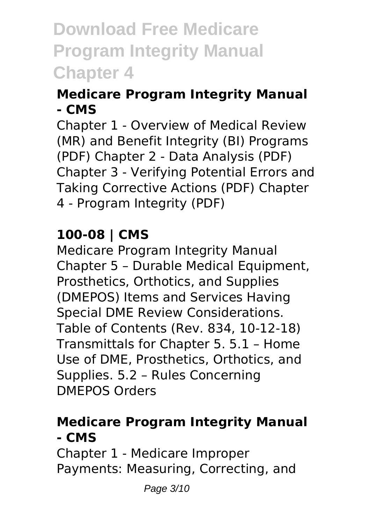### **Medicare Program Integrity Manual - CMS**

Chapter 1 - Overview of Medical Review (MR) and Benefit Integrity (BI) Programs (PDF) Chapter 2 - Data Analysis (PDF) Chapter 3 - Verifying Potential Errors and Taking Corrective Actions (PDF) Chapter 4 - Program Integrity (PDF)

### **100-08 | CMS**

Medicare Program Integrity Manual Chapter 5 – Durable Medical Equipment, Prosthetics, Orthotics, and Supplies (DMEPOS) Items and Services Having Special DME Review Considerations. Table of Contents (Rev. 834, 10-12-18) Transmittals for Chapter 5. 5.1 – Home Use of DME, Prosthetics, Orthotics, and Supplies. 5.2 – Rules Concerning DMEPOS Orders

### **Medicare Program Integrity Manual - CMS**

Chapter 1 - Medicare Improper Payments: Measuring, Correcting, and

Page 3/10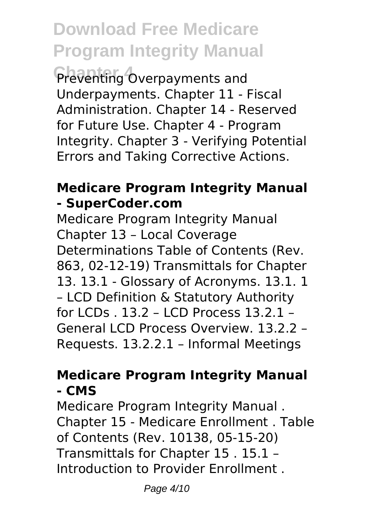Preventing Overpayments and Underpayments. Chapter 11 - Fiscal Administration. Chapter 14 - Reserved for Future Use. Chapter 4 - Program Integrity. Chapter 3 - Verifying Potential Errors and Taking Corrective Actions.

### **Medicare Program Integrity Manual - SuperCoder.com**

Medicare Program Integrity Manual Chapter 13 – Local Coverage Determinations Table of Contents (Rev. 863, 02-12-19) Transmittals for Chapter 13. 13.1 - Glossary of Acronyms. 13.1. 1 – LCD Definition & Statutory Authority for LCDs . 13.2 – LCD Process 13.2.1 – General LCD Process Overview. 13.2.2 – Requests. 13.2.2.1 – Informal Meetings

#### **Medicare Program Integrity Manual - CMS**

Medicare Program Integrity Manual . Chapter 15 - Medicare Enrollment . Table of Contents (Rev. 10138, 05-15-20) Transmittals for Chapter 15 . 15.1 – Introduction to Provider Enrollment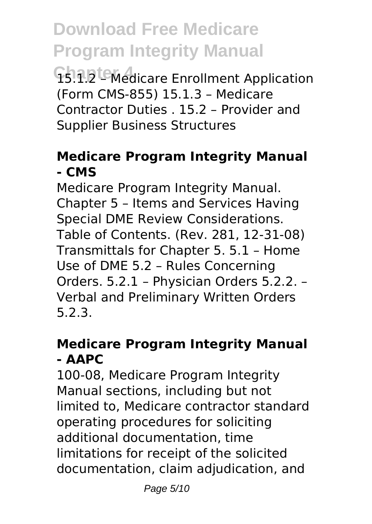**Chapter 4** 15.1.2 – Medicare Enrollment Application (Form CMS-855) 15.1.3 – Medicare Contractor Duties . 15.2 – Provider and Supplier Business Structures

### **Medicare Program Integrity Manual - CMS**

Medicare Program Integrity Manual. Chapter 5 – Items and Services Having Special DME Review Considerations. Table of Contents. (Rev. 281, 12-31-08) Transmittals for Chapter 5. 5.1 – Home Use of DME 5.2 – Rules Concerning Orders. 5.2.1 – Physician Orders 5.2.2. – Verbal and Preliminary Written Orders 5.2.3.

### **Medicare Program Integrity Manual - AAPC**

100-08, Medicare Program Integrity Manual sections, including but not limited to, Medicare contractor standard operating procedures for soliciting additional documentation, time limitations for receipt of the solicited documentation, claim adjudication, and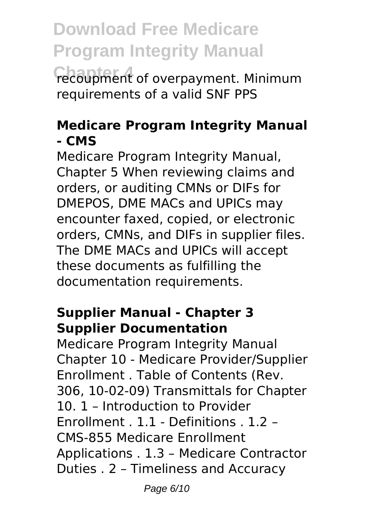**Chapter 4** recoupment of overpayment. Minimum requirements of a valid SNF PPS

#### **Medicare Program Integrity Manual - CMS**

Medicare Program Integrity Manual, Chapter 5 When reviewing claims and orders, or auditing CMNs or DIFs for DMEPOS, DME MACs and UPICs may encounter faxed, copied, or electronic orders, CMNs, and DIFs in supplier files. The DME MACs and UPICs will accept these documents as fulfilling the documentation requirements.

### **Supplier Manual - Chapter 3 Supplier Documentation**

Medicare Program Integrity Manual Chapter 10 - Medicare Provider/Supplier Enrollment . Table of Contents (Rev. 306, 10-02-09) Transmittals for Chapter 10. 1 – Introduction to Provider Enrollment . 1.1 - Definitions . 1.2 – CMS-855 Medicare Enrollment Applications . 1.3 – Medicare Contractor Duties . 2 – Timeliness and Accuracy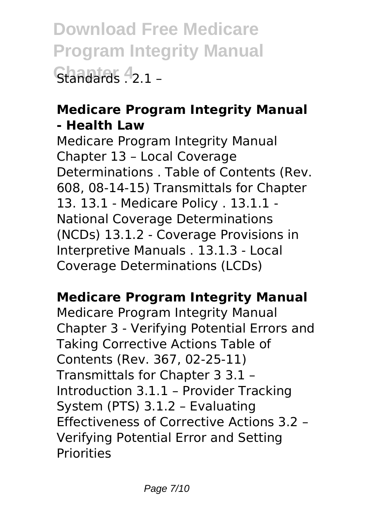**Download Free Medicare Program Integrity Manual Changing 4** 2 1 –

### **Medicare Program Integrity Manual - Health Law**

Medicare Program Integrity Manual Chapter 13 – Local Coverage Determinations . Table of Contents (Rev. 608, 08-14-15) Transmittals for Chapter 13. 13.1 - Medicare Policy . 13.1.1 - National Coverage Determinations (NCDs) 13.1.2 - Coverage Provisions in Interpretive Manuals . 13.1.3 - Local Coverage Determinations (LCDs)

### **Medicare Program Integrity Manual**

Medicare Program Integrity Manual Chapter 3 - Verifying Potential Errors and Taking Corrective Actions Table of Contents (Rev. 367, 02-25-11) Transmittals for Chapter 3 3.1 – Introduction 3.1.1 – Provider Tracking System (PTS) 3.1.2 – Evaluating Effectiveness of Corrective Actions 3.2 – Verifying Potential Error and Setting Priorities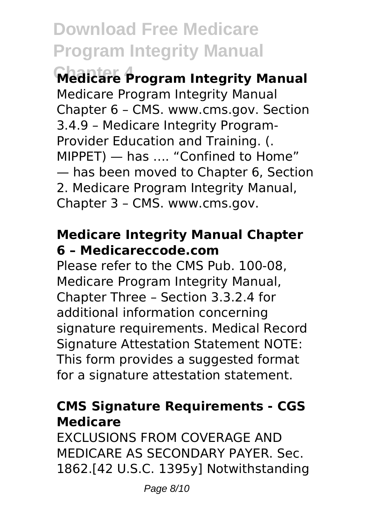**Chapter 4 Medicare Program Integrity Manual** Medicare Program Integrity Manual Chapter 6 – CMS. www.cms.gov. Section 3.4.9 – Medicare Integrity Program-Provider Education and Training. (. MIPPET) — has …. "Confined to Home" — has been moved to Chapter 6, Section 2. Medicare Program Integrity Manual, Chapter 3 – CMS. www.cms.gov.

#### **Medicare Integrity Manual Chapter 6 – Medicareccode.com**

Please refer to the CMS Pub. 100-08, Medicare Program Integrity Manual, Chapter Three – Section 3.3.2.4 for additional information concerning signature requirements. Medical Record Signature Attestation Statement NOTE: This form provides a suggested format for a signature attestation statement.

### **CMS Signature Requirements - CGS Medicare**

**EXCLUSIONS FROM COVERAGE AND** MEDICARE AS SECONDARY PAYER. Sec. 1862.[42 U.S.C. 1395y] Notwithstanding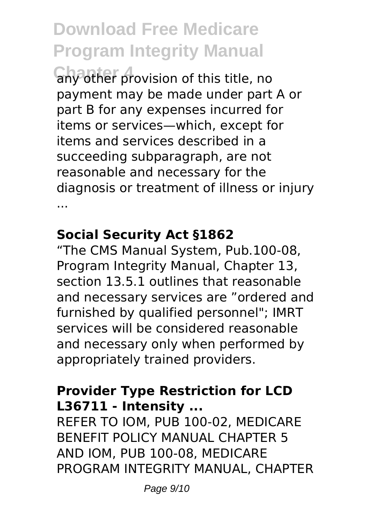**Chapter of any other provision of this title, no** payment may be made under part A or part B for any expenses incurred for items or services—which, except for items and services described in a succeeding subparagraph, are not reasonable and necessary for the diagnosis or treatment of illness or injury ...

### **Social Security Act §1862**

"The CMS Manual System, Pub.100-08, Program Integrity Manual, Chapter 13, section 13.5.1 outlines that reasonable and necessary services are "ordered and furnished by qualified personnel"; IMRT services will be considered reasonable and necessary only when performed by appropriately trained providers.

#### **Provider Type Restriction for LCD L36711 - Intensity ...**

REFER TO IOM, PUB 100-02, MEDICARE BENEFIT POLICY MANUAL CHAPTER 5 AND IOM, PUB 100-08, MEDICARE PROGRAM INTEGRITY MANUAL, CHAPTER